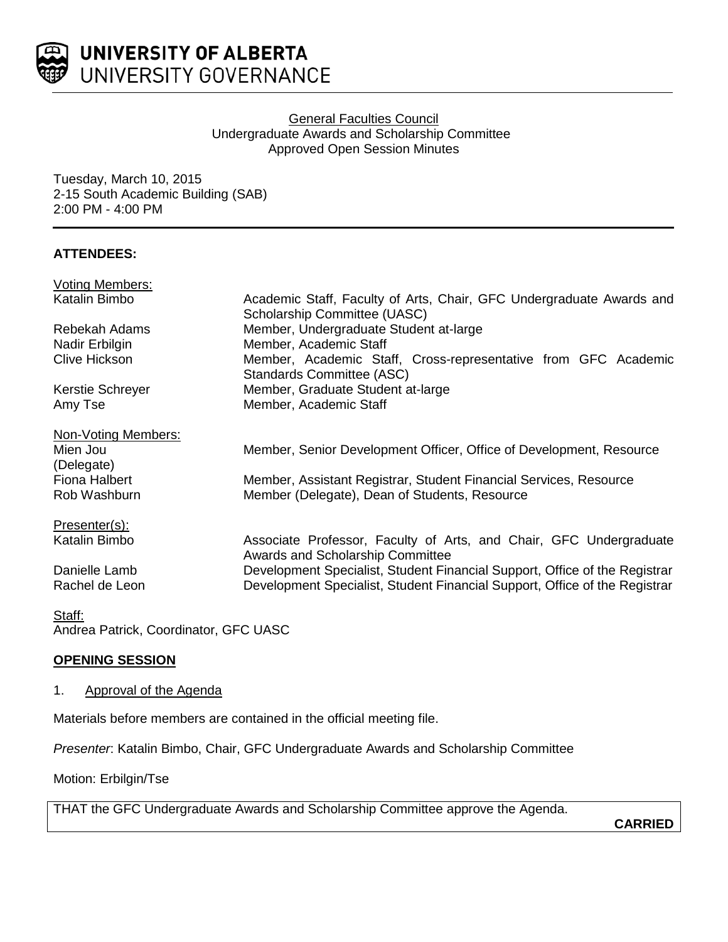

### **General Faculties Council** Undergraduate Awards and Scholarship Committee Approved Open Session Minutes

Tuesday, March 10, 2015 2-15 South Academic Building (SAB) 2:00 PM - 4:00 PM

### **ATTENDEES:**

| <b>Voting Members:</b> |                                                                            |
|------------------------|----------------------------------------------------------------------------|
| Katalin Bimbo          | Academic Staff, Faculty of Arts, Chair, GFC Undergraduate Awards and       |
|                        | <b>Scholarship Committee (UASC)</b>                                        |
| Rebekah Adams          | Member, Undergraduate Student at-large                                     |
| Nadir Erbilgin         | Member, Academic Staff                                                     |
| <b>Clive Hickson</b>   | Member, Academic Staff, Cross-representative from GFC Academic             |
|                        | Standards Committee (ASC)                                                  |
| Kerstie Schreyer       | Member, Graduate Student at-large                                          |
| Amy Tse                | Member, Academic Staff                                                     |
| Non-Voting Members:    |                                                                            |
| Mien Jou               | Member, Senior Development Officer, Office of Development, Resource        |
|                        |                                                                            |
| (Delegate)             |                                                                            |
| <b>Fiona Halbert</b>   | Member, Assistant Registrar, Student Financial Services, Resource          |
| Rob Washburn           | Member (Delegate), Dean of Students, Resource                              |
| Presenter(s):          |                                                                            |
| Katalin Bimbo          | Associate Professor, Faculty of Arts, and Chair, GFC Undergraduate         |
|                        | Awards and Scholarship Committee                                           |
| Danielle Lamb          | Development Specialist, Student Financial Support, Office of the Registrar |
| Rachel de Leon         | Development Specialist, Student Financial Support, Office of the Registrar |
|                        |                                                                            |
| Staff:                 |                                                                            |

Andrea Patrick, Coordinator, GFC UASC

# **OPENING SESSION**

### 1. Approval of the Agenda

Materials before members are contained in the official meeting file.

*Presenter*: Katalin Bimbo, Chair, GFC Undergraduate Awards and Scholarship Committee

Motion: Erbilgin/Tse

THAT the GFC Undergraduate Awards and Scholarship Committee approve the Agenda.

**CARRIED**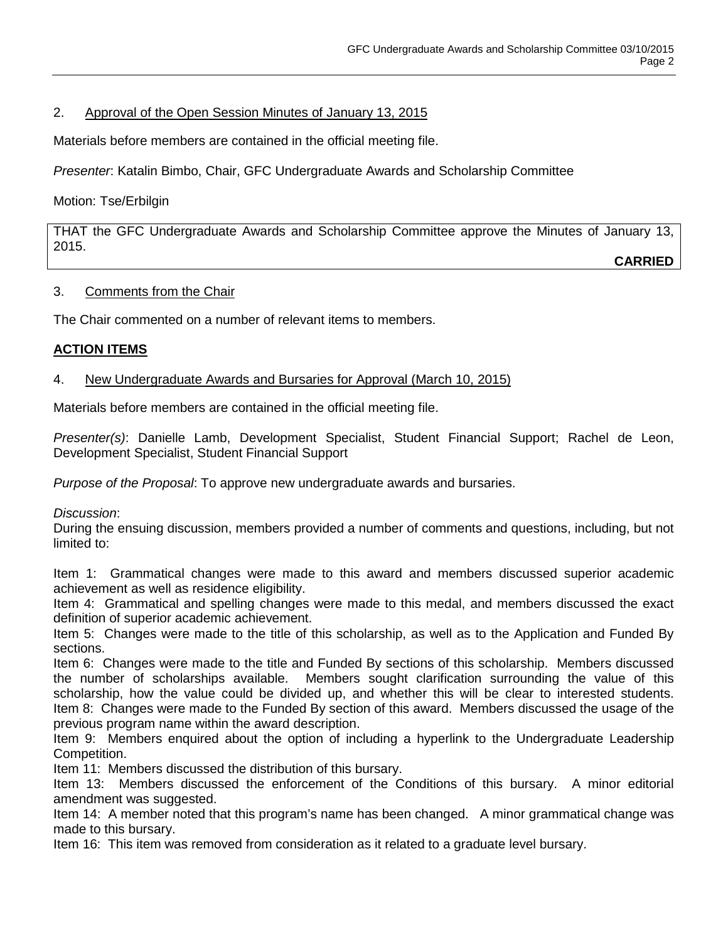## 2. Approval of the Open Session Minutes of January 13, 2015

Materials before members are contained in the official meeting file.

*Presenter*: Katalin Bimbo, Chair, GFC Undergraduate Awards and Scholarship Committee

## Motion: Tse/Erbilgin

THAT the GFC Undergraduate Awards and Scholarship Committee approve the Minutes of January 13, 2015.

**CARRIED**

# 3. Comments from the Chair

The Chair commented on a number of relevant items to members.

# **ACTION ITEMS**

# 4. New Undergraduate Awards and Bursaries for Approval (March 10, 2015)

Materials before members are contained in the official meeting file.

*Presenter(s)*: Danielle Lamb, Development Specialist, Student Financial Support; Rachel de Leon, Development Specialist, Student Financial Support

*Purpose of the Proposal*: To approve new undergraduate awards and bursaries.

*Discussion*:

During the ensuing discussion, members provided a number of comments and questions, including, but not limited to:

Item 1: Grammatical changes were made to this award and members discussed superior academic achievement as well as residence eligibility.

Item 4: Grammatical and spelling changes were made to this medal, and members discussed the exact definition of superior academic achievement.

Item 5: Changes were made to the title of this scholarship, as well as to the Application and Funded By sections.

Item 6: Changes were made to the title and Funded By sections of this scholarship. Members discussed the number of scholarships available. Members sought clarification surrounding the value of this scholarship, how the value could be divided up, and whether this will be clear to interested students. Item 8: Changes were made to the Funded By section of this award. Members discussed the usage of the previous program name within the award description.

Item 9: Members enquired about the option of including a hyperlink to the Undergraduate Leadership Competition.

Item 11: Members discussed the distribution of this bursary.

Item 13: Members discussed the enforcement of the Conditions of this bursary. A minor editorial amendment was suggested.

Item 14: A member noted that this program's name has been changed. A minor grammatical change was made to this bursary.

Item 16: This item was removed from consideration as it related to a graduate level bursary.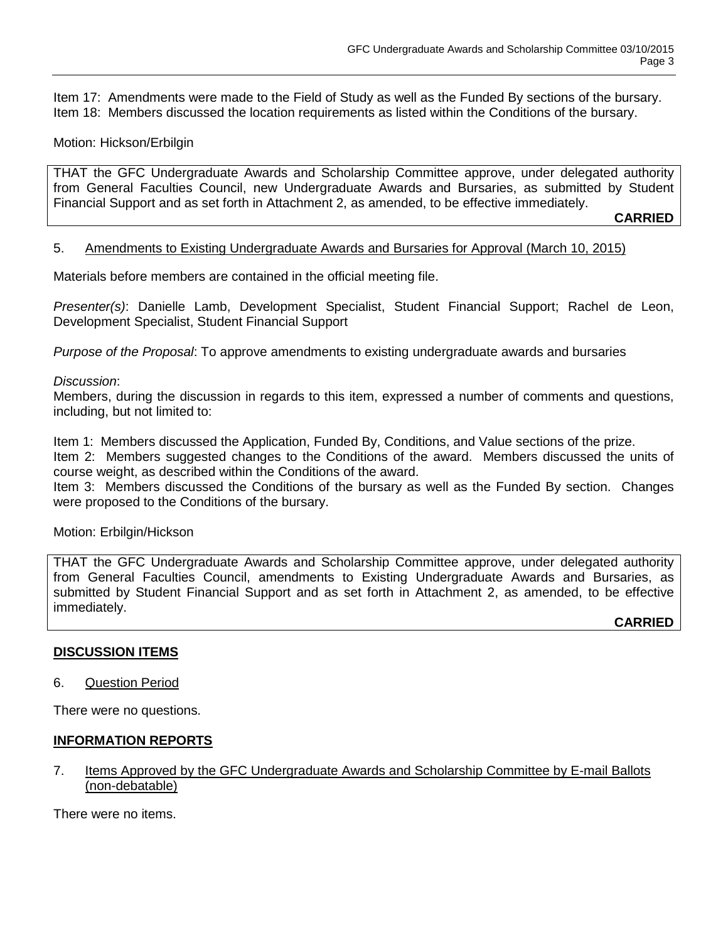Item 17: Amendments were made to the Field of Study as well as the Funded By sections of the bursary. Item 18: Members discussed the location requirements as listed within the Conditions of the bursary.

### Motion: Hickson/Erbilgin

THAT the GFC Undergraduate Awards and Scholarship Committee approve, under delegated authority from General Faculties Council, new Undergraduate Awards and Bursaries, as submitted by Student Financial Support and as set forth in Attachment 2, as amended, to be effective immediately.

**CARRIED**

#### 5. Amendments to Existing Undergraduate Awards and Bursaries for Approval (March 10, 2015)

Materials before members are contained in the official meeting file.

*Presenter(s)*: Danielle Lamb, Development Specialist, Student Financial Support; Rachel de Leon, Development Specialist, Student Financial Support

*Purpose of the Proposal*: To approve amendments to existing undergraduate awards and bursaries

#### *Discussion*:

Members, during the discussion in regards to this item, expressed a number of comments and questions, including, but not limited to:

Item 1: Members discussed the Application, Funded By, Conditions, and Value sections of the prize.

Item 2: Members suggested changes to the Conditions of the award. Members discussed the units of course weight, as described within the Conditions of the award.

Item 3: Members discussed the Conditions of the bursary as well as the Funded By section. Changes were proposed to the Conditions of the bursary.

#### Motion: Erbilgin/Hickson

THAT the GFC Undergraduate Awards and Scholarship Committee approve, under delegated authority from General Faculties Council, amendments to Existing Undergraduate Awards and Bursaries, as submitted by Student Financial Support and as set forth in Attachment 2, as amended, to be effective immediately.

**CARRIED**

#### **DISCUSSION ITEMS**

6. Question Period

There were no questions.

#### **INFORMATION REPORTS**

7. Items Approved by the GFC Undergraduate Awards and Scholarship Committee by E-mail Ballots (non-debatable)

There were no items.